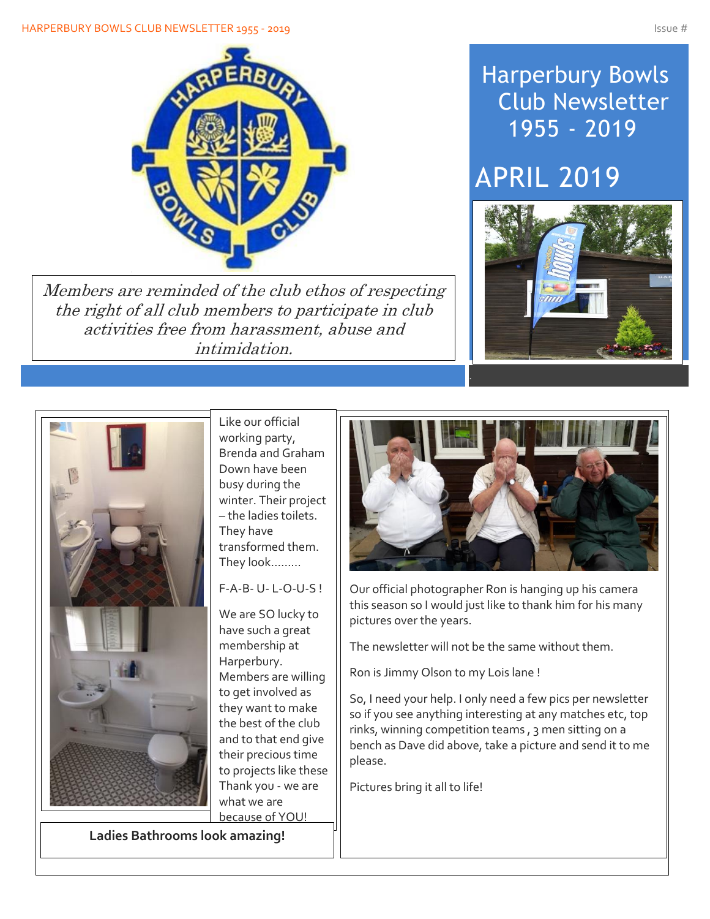

Members are reminded of the club ethos of respecting the right of all club members to participate in club activities free from harassment, abuse and intimidation.

## Harperbury Bowls Club Newsletter 1955 - 2019

# APRIL 2019





Like our official working party, Brenda and Graham Down have been busy during the winter. Their project – the ladies toilets. They have transformed them. They look………

### F-A-B- U- L-O-U-S !

We are SO lucky to have such a great membership at Harperbury. Members are willing to get involved as they want to make the best of the club and to that end give their precious time to projects like these Thank you - we are what we are because of YOU!

**Ladies Bathrooms look amazing!**



Our official photographer Ron is hanging up his camera this season so I would just like to thank him for his many pictures over the years.

The newsletter will not be the same without them.

Ron is Jimmy Olson to my Lois lane !

So, I need your help. I only need a few pics per newsletter so if you see anything interesting at any matches etc, top rinks, winning competition teams , 3 men sitting on a bench as Dave did above, take a picture and send it to me please.

Pictures bring it all to life!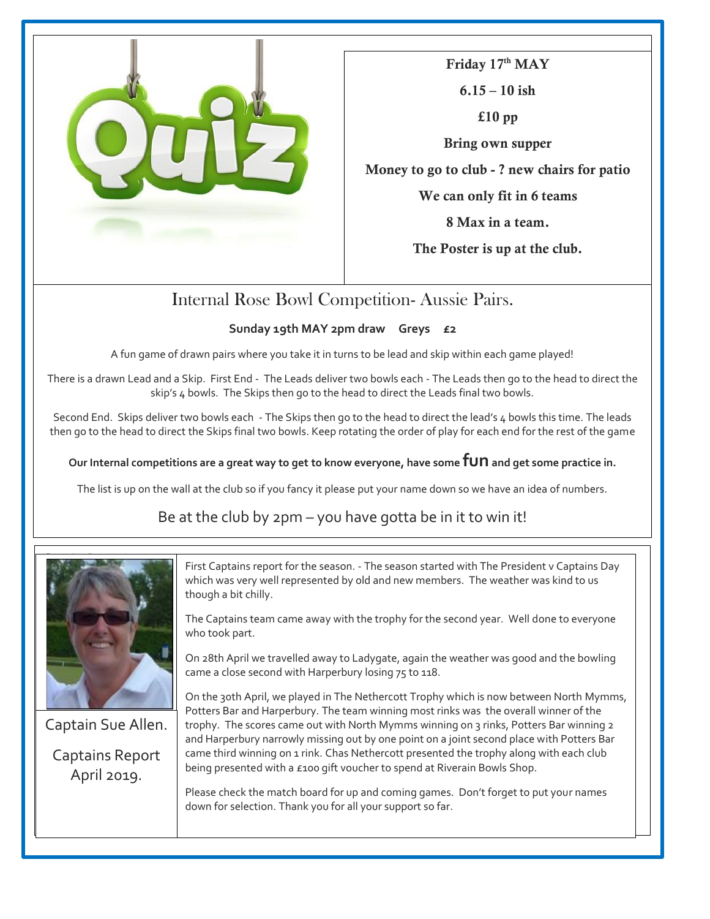

**Friday 17th MAY 6.15 – 10 ish £10 pp Bring own supper Money to go to club - ? new chairs for patio We can only fit in 6 teams 8 Max in a team. The Poster is up at the club.**

## Internal Rose Bowl Competition- Aussie Pairs.

#### **Sunday 19th MAY 2pm draw Greys £2**

A fun game of drawn pairs where you take it in turns to be lead and skip within each game played!

There is a drawn Lead and a Skip. First End - The Leads deliver two bowls each - The Leads then go to the head to direct the skip's 4 bowls. The Skips then go to the head to direct the Leads final two bowls.

Second End. Skips deliver two bowls each - The Skips then go to the head to direct the lead's 4 bowls this time. The leads then go to the head to direct the Skips final two bowls. Keep rotating the order of play for each end for the rest of the game

**Our Internal competitions are a great way to get to know everyone, have some funand get some practice in.**

The list is up on the wall at the club so if you fancy it please put your name down so we have an idea of numbers.

Be at the club by 2pm – you have gotta be in it to win it!



Captain Sue Allen. Captains Report April 2019.

Sue

First Captains report for the season. - The season started with The President v Captains Day which was very well represented by old and new members. The weather was kind to us though a bit chilly.

The Captains team came away with the trophy for the second year. Well done to everyone who took part.

On 28th April we travelled away to Ladygate, again the weather was good and the bowling came a close second with Harperbury losing 75 to 118.

On the 30th April, we played in The Nethercott Trophy which is now between North Mymms, Potters Bar and Harperbury. The team winning most rinks was the overall winner of the trophy. The scores came out with North Mymms winning on 3 rinks, Potters Bar winning 2 and Harperbury narrowly missing out by one point on a joint second place with Potters Bar came third winning on 1 rink. Chas Nethercott presented the trophy along with each club being presented with a £100 gift voucher to spend at Riverain Bowls Shop.

Please check the match board for up and coming games. Don't forget to put your names down for selection. Thank you for all your support so far.